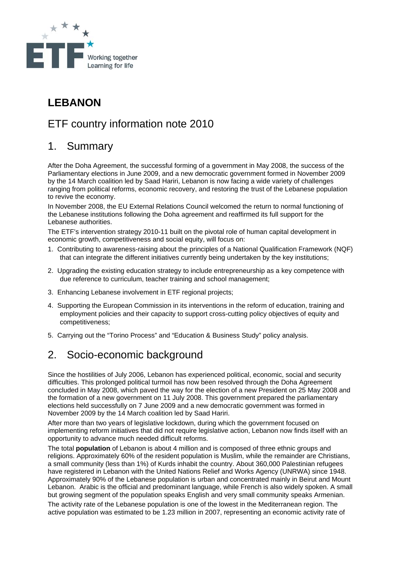

## **LEBANON**

## ETF country information note 2010

### 1. Summary

After the Doha Agreement, the successful forming of a government in May 2008, the success of the Parliamentary elections in June 2009, and a new democratic government formed in November 2009 by the 14 March coalition led by Saad Hariri, Lebanon is now facing a wide variety of challenges ranging from political reforms, economic recovery, and restoring the trust of the Lebanese population to revive the economy.

In November 2008, the EU External Relations Council welcomed the return to normal functioning of the Lebanese institutions following the Doha agreement and reaffirmed its full support for the Lebanese authorities.

The ETF's intervention strategy 2010-11 built on the pivotal role of human capital development in economic growth, competitiveness and social equity, will focus on:

- 1. Contributing to awareness-raising about the principles of a National Qualification Framework (NQF) that can integrate the different initiatives currently being undertaken by the key institutions;
- 2. Upgrading the existing education strategy to include entrepreneurship as a key competence with due reference to curriculum, teacher training and school management;
- 3. Enhancing Lebanese involvement in ETF regional projects;
- 4. Supporting the European Commission in its interventions in the reform of education, training and employment policies and their capacity to support cross-cutting policy objectives of equity and competitiveness;
- 5. Carrying out the "Torino Process" and "Education & Business Study" policy analysis.

## 2. Socio-economic background

Since the hostilities of July 2006, Lebanon has experienced political, economic, social and security difficulties. This prolonged political turmoil has now been resolved through the Doha Agreement concluded in May 2008, which paved the way for the election of a new President on 25 May 2008 and the formation of a new government on 11 July 2008. This government prepared the parliamentary elections held successfully on 7 June 2009 and a new democratic government was formed in November 2009 by the 14 March coalition led by Saad Hariri.

After more than two years of legislative lockdown, during which the government focused on implementing reform initiatives that did not require legislative action, Lebanon now finds itself with an opportunity to advance much needed difficult reforms.

The total **population** of Lebanon is about 4 million and is composed of three ethnic groups and religions. Approximately 60% of the resident population is Muslim, while the remainder are Christians, a small community (less than 1%) of Kurds inhabit the country. About 360,000 Palestinian refugees have registered in Lebanon with the United Nations Relief and Works Agency (UNRWA) since 1948. Approximately 90% of the Lebanese population is urban and concentrated mainly in Beirut and Mount Lebanon. Arabic is the official and predominant language, while French is also widely spoken. A small but growing segment of the population speaks English and very small community speaks Armenian.

The activity rate of the Lebanese population is one of the lowest in the Mediterranean region. The active population was estimated to be 1.23 million in 2007, representing an economic activity rate of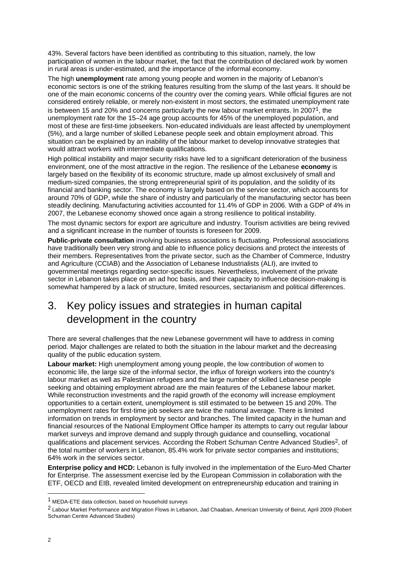43%. Several factors have been identified as contributing to this situation, namely, the low participation of women in the labour market, the fact that the contribution of declared work by women in rural areas is under-estimated, and the importance of the informal economy.

The high **unemployment** rate among young people and women in the majority of Lebanon's economic sectors is one of the striking features resulting from the slump of the last years. It should be one of the main economic concerns of the country over the coming years. While official figures are not considered entirely reliable, or merely non-existent in most sectors, the estimated unemployment rate is between 15 and 20% and concerns particularly the new labour market entrants. In 20071, the unemployment rate for the 15–24 age group accounts for 45% of the unemployed population, and most of these are first-time jobseekers. Non-educated individuals are least affected by unemployment (5%), and a large number of skilled Lebanese people seek and obtain employment abroad. This situation can be explained by an inability of the labour market to develop innovative strategies that would attract workers with intermediate qualifications.

High political instability and major security risks have led to a significant deterioration of the business environment, one of the most attractive in the region. The resilience of the Lebanese **economy** is largely based on the flexibility of its economic structure, made up almost exclusively of small and medium-sized companies, the strong entrepreneurial spirit of its population, and the solidity of its financial and banking sector. The economy is largely based on the service sector, which accounts for around 70% of GDP, while the share of industry and particularly of the manufacturing sector has been steadily declining. Manufacturing activities accounted for 11.4% of GDP in 2006. With a GDP of 4% in 2007, the Lebanese economy showed once again a strong resilience to political instability.

The most dynamic sectors for export are agriculture and industry. Tourism activities are being revived and a significant increase in the number of tourists is foreseen for 2009.

**Public-private consultation** involving business associations is fluctuating. Professional associations have traditionally been very strong and able to influence policy decisions and protect the interests of their members. Representatives from the private sector, such as the Chamber of Commerce, Industry and Agriculture (CCIAB) and the Association of Lebanese Industrialists (ALI), are invited to governmental meetings regarding sector-specific issues. Nevertheless, involvement of the private sector in Lebanon takes place on an ad hoc basis, and their capacity to influence decision-making is somewhat hampered by a lack of structure, limited resources, sectarianism and political differences.

## 3. Key policy issues and strategies in human capital development in the country

There are several challenges that the new Lebanese government will have to address in coming period. Major challenges are related to both the situation in the labour market and the decreasing quality of the public education system.

**Labour market:** High unemployment among young people, the low contribution of women to economic life, the large size of the informal sector, the influx of foreign workers into the country's labour market as well as Palestinian refugees and the large number of skilled Lebanese people seeking and obtaining employment abroad are the main features of the Lebanese labour market. While reconstruction investments and the rapid growth of the economy will increase employment opportunities to a certain extent, unemployment is still estimated to be between 15 and 20%. The unemployment rates for first-time job seekers are twice the national average. There is limited information on trends in employment by sector and branches. The limited capacity in the human and financial resources of the National Employment Office hamper its attempts to carry out regular labour market surveys and improve demand and supply through guidance and counselling, vocational qualifications and placement services. According the Robert Schuman Centre Advanced Studies<sup>2</sup>, of the total number of workers in Lebanon, 85.4% work for private sector companies and institutions; 64% work in the services sector.

**Enterprise policy and HCD:** Lebanon is fully involved in the implementation of the Euro-Med Charter for Enterprise. The assessment exercise led by the European Commission in collaboration with the ETF, OECD and EIB, revealed limited development on entrepreneurship education and training in

l

<sup>1</sup> MEDA-ETE data collection, based on household surveys

<sup>2</sup> Labour Market Performance and Migration Flows in Lebanon, Jad Chaaban, American University of Beirut, April 2009 (Robert Schuman Centre Advanced Studies)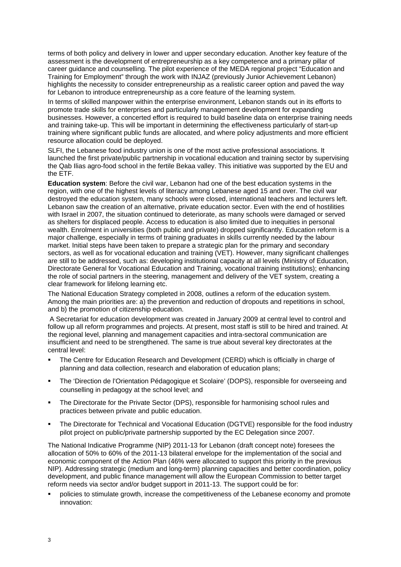terms of both policy and delivery in lower and upper secondary education. Another key feature of the assessment is the development of entrepreneurship as a key competence and a primary pillar of career guidance and counselling. The pilot experience of the MEDA regional project "Education and Training for Employment" through the work with INJAZ (previously Junior Achievement Lebanon) highlights the necessity to consider entrepreneurship as a realistic career option and paved the way for Lebanon to introduce entrepreneurship as a core feature of the learning system.

In terms of skilled manpower within the enterprise environment, Lebanon stands out in its efforts to promote trade skills for enterprises and particularly management development for expanding businesses. However, a concerted effort is required to build baseline data on enterprise training needs and training take-up. This will be important in determining the effectiveness particularly of start-up training where significant public funds are allocated, and where policy adjustments and more efficient resource allocation could be deployed.

SLFI, the Lebanese food industry union is one of the most active professional associations. It launched the first private/public partnership in vocational education and training sector by supervising the Qab Ilias agro-food school in the fertile Bekaa valley. This initiative was supported by the EU and the ETF.

**Education system**: Before the civil war, Lebanon had one of the best education systems in the region, with one of the highest levels of literacy among Lebanese aged 15 and over. The civil war destroyed the education system, many schools were closed, international teachers and lecturers left. Lebanon saw the creation of an alternative, private education sector. Even with the end of hostilities with Israel in 2007, the situation continued to deteriorate, as many schools were damaged or served as shelters for displaced people. Access to education is also limited due to inequities in personal wealth. Enrolment in universities (both public and private) dropped significantly. Education reform is a major challenge, especially in terms of training graduates in skills currently needed by the labour market. Initial steps have been taken to prepare a strategic plan for the primary and secondary sectors, as well as for vocational education and training (VET). However, many significant challenges are still to be addressed, such as: developing institutional capacity at all levels (Ministry of Education, Directorate General for Vocational Education and Training, vocational training institutions); enhancing the role of social partners in the steering, management and delivery of the VET system, creating a clear framework for lifelong learning etc.

The National Education Strategy completed in 2008, outlines a reform of the education system. Among the main priorities are: a) the prevention and reduction of dropouts and repetitions in school, and b) the promotion of citizenship education.

 A Secretariat for education development was created in January 2009 at central level to control and follow up all reform programmes and projects. At present, most staff is still to be hired and trained. At the regional level, planning and management capacities and intra-sectoral communication are insufficient and need to be strengthened. The same is true about several key directorates at the central level:

- The Centre for Education Research and Development (CERD) which is officially in charge of planning and data collection, research and elaboration of education plans;
- The 'Direction de l'Orientation Pédagogique et Scolaire' (DOPS), responsible for overseeing and counselling in pedagogy at the school level; and
- The Directorate for the Private Sector (DPS), responsible for harmonising school rules and practices between private and public education.
- The Directorate for Technical and Vocational Education (DGTVE) responsible for the food industry pilot project on public/private partnership supported by the EC Delegation since 2007.

The National Indicative Programme (NIP) 2011-13 for Lebanon (draft concept note) foresees the allocation of 50% to 60% of the 2011-13 bilateral envelope for the implementation of the social and economic component of the Action Plan (46% were allocated to support this priority in the previous NIP). Addressing strategic (medium and long-term) planning capacities and better coordination, policy development, and public finance management will allow the European Commission to better target reform needs via sector and/or budget support in 2011-13. The support could be for:

 policies to stimulate growth, increase the competitiveness of the Lebanese economy and promote innovation: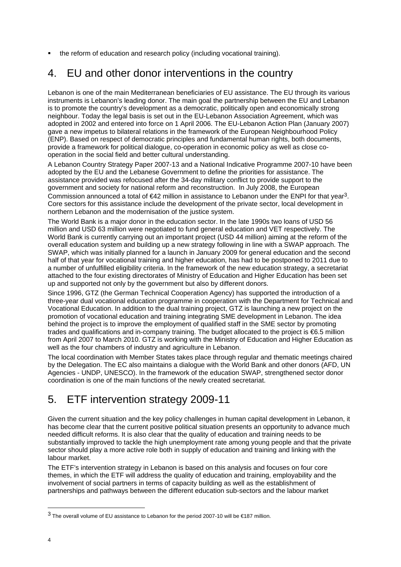• the reform of education and research policy (including vocational training).

## 4. EU and other donor interventions in the country

Lebanon is one of the main Mediterranean beneficiaries of EU assistance. The EU through its various instruments is Lebanon's leading donor. The main goal the partnership between the EU and Lebanon is to promote the country's development as a democratic, politically open and economically strong neighbour. Today the legal basis is set out in the EU-Lebanon Association Agreement, which was adopted in 2002 and entered into force on 1 April 2006. The EU-Lebanon Action Plan (January 2007) gave a new impetus to bilateral relations in the framework of the European Neighbourhood Policy (ENP). Based on respect of democratic principles and fundamental human rights, both documents, provide a framework for political dialogue, co-operation in economic policy as well as close cooperation in the social field and better cultural understanding.

A Lebanon Country Strategy Paper 2007-13 and a National Indicative Programme 2007-10 have been adopted by the EU and the Lebanese Government to define the priorities for assistance. The assistance provided was refocused after the 34-day military conflict to provide support to the government and society for national reform and reconstruction. In July 2008, the European Commission announced a total of  $642$  million in assistance to Lebanon under the ENPI for that year<sup>3</sup>. Core sectors for this assistance include the development of the private sector, local development in northern Lebanon and the modernisation of the justice system.

The World Bank is a major donor in the education sector. In the late 1990s two loans of USD 56 million and USD 63 million were negotiated to fund general education and VET respectively. The World Bank is currently carrying out an important project (USD 44 million) aiming at the reform of the overall education system and building up a new strategy following in line with a SWAP approach. The SWAP, which was initially planned for a launch in January 2009 for general education and the second half of that year for vocational training and higher education, has had to be postponed to 2011 due to a number of unfulfilled eligibility criteria. In the framework of the new education strategy, a secretariat attached to the four existing directorates of Ministry of Education and Higher Education has been set up and supported not only by the government but also by different donors.

Since 1996, GTZ (the German Technical Cooperation Agency) has supported the introduction of a three-year dual vocational education programme in cooperation with the Department for Technical and Vocational Education. In addition to the dual training project, GTZ is launching a new project on the promotion of vocational education and training integrating SME development in Lebanon. The idea behind the project is to improve the employment of qualified staff in the SME sector by promoting trades and qualifications and in-company training. The budget allocated to the project is €6.5 million from April 2007 to March 2010. GTZ is working with the Ministry of Education and Higher Education as well as the four chambers of industry and agriculture in Lebanon.

The local coordination with Member States takes place through regular and thematic meetings chaired by the Delegation. The EC also maintains a dialogue with the World Bank and other donors (AFD, UN Agencies - UNDP, UNESCO). In the framework of the education SWAP, strengthened sector donor coordination is one of the main functions of the newly created secretariat.

## 5. ETF intervention strategy 2009-11

Given the current situation and the key policy challenges in human capital development in Lebanon, it has become clear that the current positive political situation presents an opportunity to advance much needed difficult reforms. It is also clear that the quality of education and training needs to be substantially improved to tackle the high unemployment rate among young people and that the private sector should play a more active role both in supply of education and training and linking with the labour market.

The ETF's intervention strategy in Lebanon is based on this analysis and focuses on four core themes, in which the ETF will address the quality of education and training, employability and the involvement of social partners in terms of capacity building as well as the establishment of partnerships and pathways between the different education sub-sectors and the labour market

l

<sup>3</sup> The overall volume of EU assistance to Lebanon for the period 2007-10 will be €187 million.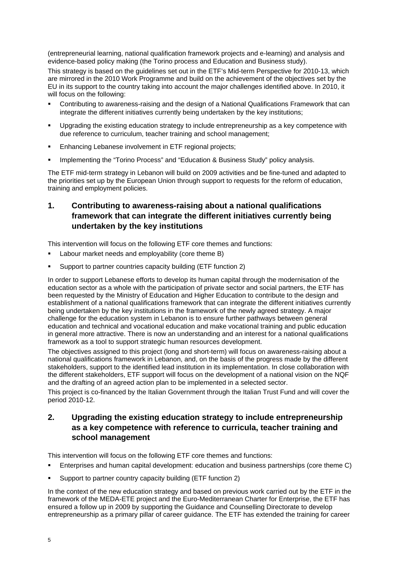(entrepreneurial learning, national qualification framework projects and e-learning) and analysis and evidence-based policy making (the Torino process and Education and Business study).

This strategy is based on the guidelines set out in the ETF's Mid-term Perspective for 2010-13, which are mirrored in the 2010 Work Programme and build on the achievement of the objectives set by the EU in its support to the country taking into account the major challenges identified above. In 2010, it will focus on the following:

- Contributing to awareness-raising and the design of a National Qualifications Framework that can integrate the different initiatives currently being undertaken by the key institutions;
- Upgrading the existing education strategy to include entrepreneurship as a key competence with due reference to curriculum, teacher training and school management;
- Enhancing Lebanese involvement in ETF regional projects;
- Implementing the "Torino Process" and "Education & Business Study" policy analysis.

The ETF mid-term strategy in Lebanon will build on 2009 activities and be fine-tuned and adapted to the priorities set up by the European Union through support to requests for the reform of education, training and employment policies.

#### **1. Contributing to awareness-raising about a national qualifications framework that can integrate the different initiatives currently being undertaken by the key institutions**

This intervention will focus on the following ETF core themes and functions:

- Labour market needs and employability (core theme B)
- Support to partner countries capacity building (ETF function 2)

In order to support Lebanese efforts to develop its human capital through the modernisation of the education sector as a whole with the participation of private sector and social partners, the ETF has been requested by the Ministry of Education and Higher Education to contribute to the design and establishment of a national qualifications framework that can integrate the different initiatives currently being undertaken by the key institutions in the framework of the newly agreed strategy. A major challenge for the education system in Lebanon is to ensure further pathways between general education and technical and vocational education and make vocational training and public education in general more attractive. There is now an understanding and an interest for a national qualifications framework as a tool to support strategic human resources development.

The objectives assigned to this project (long and short-term) will focus on awareness-raising about a national qualifications framework in Lebanon, and, on the basis of the progress made by the different stakeholders, support to the identified lead institution in its implementation. In close collaboration with the different stakeholders, ETF support will focus on the development of a national vision on the NQF and the drafting of an agreed action plan to be implemented in a selected sector.

This project is co-financed by the Italian Government through the Italian Trust Fund and will cover the period 2010-12.

#### **2. Upgrading the existing education strategy to include entrepreneurship as a key competence with reference to curricula, teacher training and school management**

This intervention will focus on the following ETF core themes and functions:

- Enterprises and human capital development: education and business partnerships (core theme C)
- Support to partner country capacity building (ETF function 2)

In the context of the new education strategy and based on previous work carried out by the ETF in the framework of the MEDA-ETE project and the Euro-Mediterranean Charter for Enterprise, the ETF has ensured a follow up in 2009 by supporting the Guidance and Counselling Directorate to develop entrepreneurship as a primary pillar of career guidance. The ETF has extended the training for career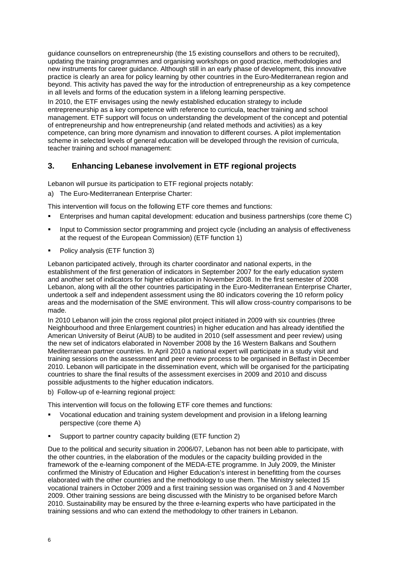guidance counsellors on entrepreneurship (the 15 existing counsellors and others to be recruited), updating the training programmes and organising workshops on good practice, methodologies and new instruments for career guidance. Although still in an early phase of development, this innovative practice is clearly an area for policy learning by other countries in the Euro-Mediterranean region and beyond. This activity has paved the way for the introduction of entrepreneurship as a key competence in all levels and forms of the education system in a lifelong learning perspective.

In 2010, the ETF envisages using the newly established education strategy to include entrepreneurship as a key competence with reference to curricula, teacher training and school management. ETF support will focus on understanding the development of the concept and potential of entrepreneurship and how entrepreneurship (and related methods and activities) as a key competence, can bring more dynamism and innovation to different courses. A pilot implementation scheme in selected levels of general education will be developed through the revision of curricula, teacher training and school management:

#### **3. Enhancing Lebanese involvement in ETF regional projects**

Lebanon will pursue its participation to ETF regional projects notably:

a) The Euro-Mediterranean Enterprise Charter:

This intervention will focus on the following ETF core themes and functions:

- Enterprises and human capital development: education and business partnerships (core theme C)
- Input to Commission sector programming and project cycle (including an analysis of effectiveness at the request of the European Commission) (ETF function 1)
- Policy analysis (ETF function 3)

Lebanon participated actively, through its charter coordinator and national experts, in the establishment of the first generation of indicators in September 2007 for the early education system and another set of indicators for higher education in November 2008. In the first semester of 2008 Lebanon, along with all the other countries participating in the Euro-Mediterranean Enterprise Charter, undertook a self and independent assessment using the 80 indicators covering the 10 reform policy areas and the modernisation of the SME environment. This will allow cross-country comparisons to be made.

In 2010 Lebanon will join the cross regional pilot project initiated in 2009 with six countries (three Neighbourhood and three Enlargement countries) in higher education and has already identified the American University of Beirut (AUB) to be audited in 2010 (self assessment and peer review) using the new set of indicators elaborated in November 2008 by the 16 Western Balkans and Southern Mediterranean partner countries. In April 2010 a national expert will participate in a study visit and training sessions on the assessment and peer review process to be organised in Belfast in December 2010. Lebanon will participate in the dissemination event, which will be organised for the participating countries to share the final results of the assessment exercises in 2009 and 2010 and discuss possible adjustments to the higher education indicators.

b) Follow-up of e-learning regional project:

This intervention will focus on the following ETF core themes and functions:

- Vocational education and training system development and provision in a lifelong learning perspective (core theme A)
- Support to partner country capacity building (ETF function 2)

Due to the political and security situation in 2006/07, Lebanon has not been able to participate, with the other countries, in the elaboration of the modules or the capacity building provided in the framework of the e-learning component of the MEDA-ETE programme. In July 2009, the Minister confirmed the Ministry of Education and Higher Education's interest in benefitting from the courses elaborated with the other countries and the methodology to use them. The Ministry selected 15 vocational trainers in October 2009 and a first training session was organised on 3 and 4 November 2009. Other training sessions are being discussed with the Ministry to be organised before March 2010. Sustainability may be ensured by the three e-learning experts who have participated in the training sessions and who can extend the methodology to other trainers in Lebanon.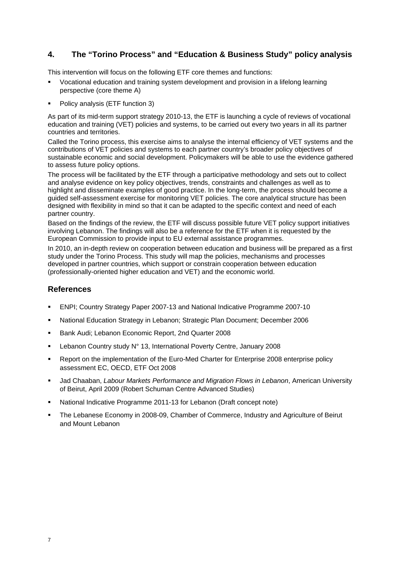#### **4. The "Torino Process" and "Education & Business Study" policy analysis**

This intervention will focus on the following ETF core themes and functions:

- Vocational education and training system development and provision in a lifelong learning perspective (core theme A)
- Policy analysis (ETF function 3)

As part of its mid-term support strategy 2010-13, the ETF is launching a cycle of reviews of vocational education and training (VET) policies and systems, to be carried out every two years in all its partner countries and territories.

Called the Torino process, this exercise aims to analyse the internal efficiency of VET systems and the contributions of VET policies and systems to each partner country's broader policy objectives of sustainable economic and social development. Policymakers will be able to use the evidence gathered to assess future policy options.

The process will be facilitated by the ETF through a participative methodology and sets out to collect and analyse evidence on key policy objectives, trends, constraints and challenges as well as to highlight and disseminate examples of good practice. In the long-term, the process should become a guided self-assessment exercise for monitoring VET policies. The core analytical structure has been designed with flexibility in mind so that it can be adapted to the specific context and need of each partner country.

Based on the findings of the review, the ETF will discuss possible future VET policy support initiatives involving Lebanon. The findings will also be a reference for the ETF when it is requested by the European Commission to provide input to EU external assistance programmes.

In 2010, an in-depth review on cooperation between education and business will be prepared as a first study under the Torino Process. This study will map the policies, mechanisms and processes developed in partner countries, which support or constrain cooperation between education (professionally-oriented higher education and VET) and the economic world.

#### **References**

- ENPI; Country Strategy Paper 2007-13 and National Indicative Programme 2007-10
- National Education Strategy in Lebanon; Strategic Plan Document; December 2006
- Bank Audi; Lebanon Economic Report, 2nd Quarter 2008
- Lebanon Country study N° 13, International Poverty Centre, January 2008
- Report on the implementation of the Euro-Med Charter for Enterprise 2008 enterprise policy assessment EC, OECD, ETF Oct 2008
- Jad Chaaban, *Labour Markets Performance and Migration Flows in Lebanon*, American University of Beirut, April 2009 (Robert Schuman Centre Advanced Studies)
- National Indicative Programme 2011-13 for Lebanon (Draft concept note)
- The Lebanese Economy in 2008-09, Chamber of Commerce, Industry and Agriculture of Beirut and Mount Lebanon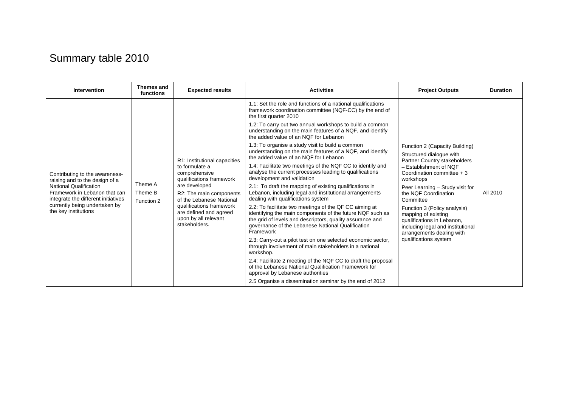# Summary table 2010

| <b>Intervention</b>                                                                                                                                                                                                                | Themes and<br>functions          | <b>Expected results</b>                                                                                                                                                                                                                                            | <b>Activities</b>                                                                                                                                                                                                                                                                                                                                                                                                                                                                                                                                                                                                                                                                                                                                                                                                                                                                                                                                                                                                                                                                                                                                                                                                                                                                                                                                                                                                     | <b>Project Outputs</b>                                                                                                                                                                                                                                                                                                                                                                                                  | <b>Duration</b> |
|------------------------------------------------------------------------------------------------------------------------------------------------------------------------------------------------------------------------------------|----------------------------------|--------------------------------------------------------------------------------------------------------------------------------------------------------------------------------------------------------------------------------------------------------------------|-----------------------------------------------------------------------------------------------------------------------------------------------------------------------------------------------------------------------------------------------------------------------------------------------------------------------------------------------------------------------------------------------------------------------------------------------------------------------------------------------------------------------------------------------------------------------------------------------------------------------------------------------------------------------------------------------------------------------------------------------------------------------------------------------------------------------------------------------------------------------------------------------------------------------------------------------------------------------------------------------------------------------------------------------------------------------------------------------------------------------------------------------------------------------------------------------------------------------------------------------------------------------------------------------------------------------------------------------------------------------------------------------------------------------|-------------------------------------------------------------------------------------------------------------------------------------------------------------------------------------------------------------------------------------------------------------------------------------------------------------------------------------------------------------------------------------------------------------------------|-----------------|
| Contributing to the awareness-<br>raising and to the design of a<br><b>National Qualification</b><br>Framework in Lebanon that can<br>integrate the different initiatives<br>currently being undertaken by<br>the key institutions | Theme A<br>Theme B<br>Function 2 | R1: Institutional capacities<br>to formulate a<br>comprehensive<br>qualifications framework<br>are developed<br>R2: The main components<br>of the Lebanese National<br>qualifications framework<br>are defined and agreed<br>upon by all relevant<br>stakeholders. | 1.1: Set the role and functions of a national qualifications<br>framework coordination committee (NQF-CC) by the end of<br>the first quarter 2010<br>1.2: To carry out two annual workshops to build a common<br>understanding on the main features of a NQF, and identify<br>the added value of an NOF for Lebanon<br>1.3: To organise a study visit to build a common<br>understanding on the main features of a NQF, and identify<br>the added value of an NOF for Lebanon<br>1.4: Facilitate two meetings of the NQF CC to identify and<br>analyse the current processes leading to qualifications<br>development and validation<br>2.1: To draft the mapping of existing qualifications in<br>Lebanon, including legal and institutional arrangements<br>dealing with qualifications system<br>2.2: To facilitate two meetings of the QF CC aiming at<br>identifying the main components of the future NQF such as<br>the grid of levels and descriptors, quality assurance and<br>governance of the Lebanese National Qualification<br>Framework<br>2.3: Carry-out a pilot test on one selected economic sector,<br>through involvement of main stakeholders in a national<br>workshop.<br>2.4: Facilitate 2 meeting of the NQF CC to draft the proposal<br>of the Lebanese National Qualification Framework for<br>approval by Lebanese authorities<br>2.5 Organise a dissemination seminar by the end of 2012 | Function 2 (Capacity Building)<br>Structured dialogue with<br>Partner Country stakeholders<br>- Establishment of NOF<br>Coordination committee + 3<br>workshops<br>Peer Learning - Study visit for<br>the NQF Coordination<br>Committee<br>Function 3 (Policy analysis)<br>mapping of existing<br>qualifications in Lebanon,<br>including legal and institutional<br>arrangements dealing with<br>qualifications system | All 2010        |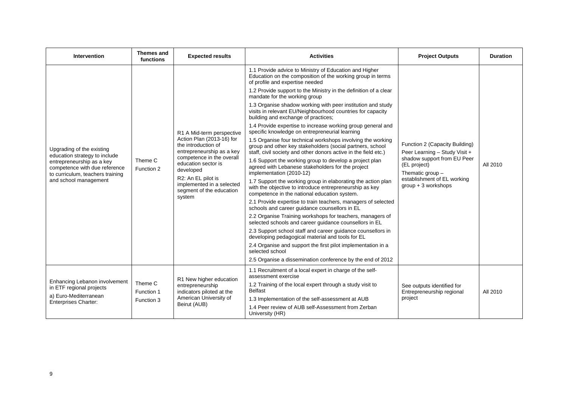| Intervention                                                                                                                                                                          | <b>Themes and</b><br>functions      | <b>Expected results</b>                                                                                                                                                                                                                                              | <b>Activities</b>                                                                                                                                                                                                                                                                                                                                                                                                                                                                                                                                                                                                                                                                                                                                                                                                                                                                                                                                                                                                                                                                                                                                                                                                                                                                                                                                                                                                                                                                                                                                                                    | <b>Project Outputs</b>                                                                                                                                                                       | <b>Duration</b> |
|---------------------------------------------------------------------------------------------------------------------------------------------------------------------------------------|-------------------------------------|----------------------------------------------------------------------------------------------------------------------------------------------------------------------------------------------------------------------------------------------------------------------|--------------------------------------------------------------------------------------------------------------------------------------------------------------------------------------------------------------------------------------------------------------------------------------------------------------------------------------------------------------------------------------------------------------------------------------------------------------------------------------------------------------------------------------------------------------------------------------------------------------------------------------------------------------------------------------------------------------------------------------------------------------------------------------------------------------------------------------------------------------------------------------------------------------------------------------------------------------------------------------------------------------------------------------------------------------------------------------------------------------------------------------------------------------------------------------------------------------------------------------------------------------------------------------------------------------------------------------------------------------------------------------------------------------------------------------------------------------------------------------------------------------------------------------------------------------------------------------|----------------------------------------------------------------------------------------------------------------------------------------------------------------------------------------------|-----------------|
| Upgrading of the existing<br>education strategy to include<br>entrepreneurship as a key<br>competence with due reference<br>to curriculum, teachers training<br>and school management | Theme C<br>Function 2               | R1 A Mid-term perspective<br>Action Plan (2013-16) for<br>the introduction of<br>entrepreneurship as a key<br>competence in the overall<br>education sector is<br>developed<br>R2: An EL pilot is<br>implemented in a selected<br>segment of the education<br>system | 1.1 Provide advice to Ministry of Education and Higher<br>Education on the composition of the working group in terms<br>of profile and expertise needed<br>1.2 Provide support to the Ministry in the definition of a clear<br>mandate for the working group<br>1.3 Organise shadow working with peer institution and study<br>visits in relevant EU/Neighbourhood countries for capacity<br>building and exchange of practices;<br>1.4 Provide expertise to increase working group general and<br>specific knowledge on entrepreneurial learning<br>1.5 Organise four technical workshops involving the working<br>group and other key stakeholders (social partners, school<br>staff, civil society and other donors active in the field etc.)<br>1.6 Support the working group to develop a project plan<br>agreed with Lebanese stakeholders for the project<br>implementation (2010-12)<br>1.7 Support the working group in elaborating the action plan<br>with the objective to introduce entrepreneurship as key<br>competence in the national education system.<br>2.1 Provide expertise to train teachers, managers of selected<br>schools and career guidance counsellors in EL<br>2.2 Organise Training workshops for teachers, managers of<br>selected schools and career guidance counsellors in EL<br>2.3 Support school staff and career guidance counsellors in<br>developing pedagogical material and tools for EL<br>2.4 Organise and support the first pilot implementation in a<br>selected school<br>2.5 Organise a dissemination conference by the end of 2012 | Function 2 (Capacity Building)<br>Peer Learning - Study Visit +<br>shadow support from EU Peer<br>(EL project)<br>Thematic group $-$<br>establishment of EL working<br>$group + 3$ workshops | All 2010        |
| Enhancing Lebanon involvement<br>in ETF regional projects<br>a) Euro-Mediterranean<br><b>Enterprises Charter:</b>                                                                     | Theme C<br>Function 1<br>Function 3 | R1 New higher education<br>entrepreneurship<br>indicators piloted at the<br>American University of<br>Beirut (AUB)                                                                                                                                                   | 1.1 Recruitment of a local expert in charge of the self-<br>assessment exercise<br>1.2 Training of the local expert through a study visit to<br><b>Belfast</b><br>1.3 Implementation of the self-assessment at AUB<br>1.4 Peer review of AUB self-Assessment from Zerban<br>University (HR)                                                                                                                                                                                                                                                                                                                                                                                                                                                                                                                                                                                                                                                                                                                                                                                                                                                                                                                                                                                                                                                                                                                                                                                                                                                                                          | See outputs identified for<br>Entrepreneurship regional<br>project                                                                                                                           | All 2010        |